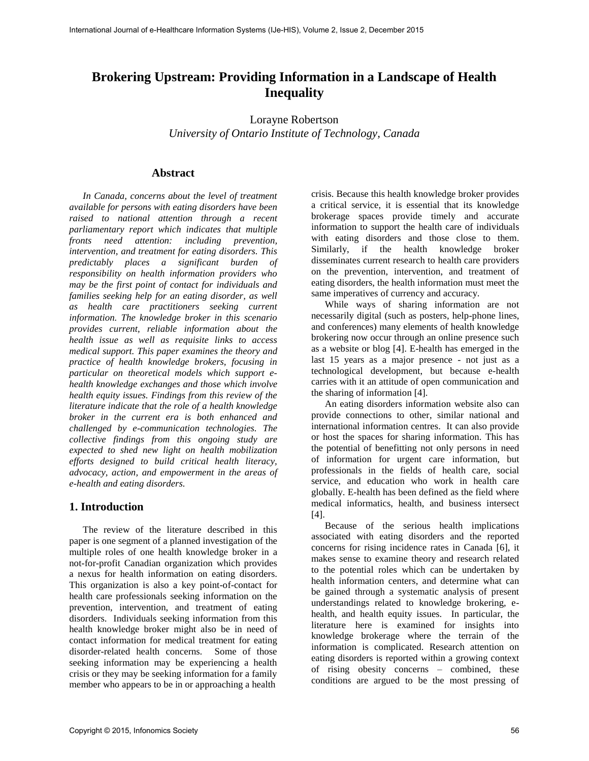# **Brokering Upstream: Providing Information in a Landscape of Health Inequality**

Lorayne Robertson *University of Ontario Institute of Technology, Canada* 

### **Abstract**

*In Canada, concerns about the level of treatment available for persons with eating disorders have been raised to national attention through a recent parliamentary report which indicates that multiple fronts need attention: including prevention, intervention, and treatment for eating disorders. This predictably places a significant burden of responsibility on health information providers who may be the first point of contact for individuals and families seeking help for an eating disorder, as well as health care practitioners seeking current information. The knowledge broker in this scenario provides current, reliable information about the health issue as well as requisite links to access medical support. This paper examines the theory and practice of health knowledge brokers, focusing in particular on theoretical models which support ehealth knowledge exchanges and those which involve health equity issues. Findings from this review of the literature indicate that the role of a health knowledge broker in the current era is both enhanced and challenged by e-communication technologies. The collective findings from this ongoing study are expected to shed new light on health mobilization efforts designed to build critical health literacy, advocacy, action, and empowerment in the areas of e-health and eating disorders.* 

# **1. Introduction**

The review of the literature described in this paper is one segment of a planned investigation of the multiple roles of one health knowledge broker in a not-for-profit Canadian organization which provides a nexus for health information on eating disorders. This organization is also a key point-of-contact for health care professionals seeking information on the prevention, intervention, and treatment of eating disorders. Individuals seeking information from this health knowledge broker might also be in need of contact information for medical treatment for eating disorder-related health concerns. Some of those seeking information may be experiencing a health crisis or they may be seeking information for a family member who appears to be in or approaching a health

crisis. Because this health knowledge broker provides a critical service, it is essential that its knowledge brokerage spaces provide timely and accurate information to support the health care of individuals with eating disorders and those close to them. Similarly, if the health knowledge broker disseminates current research to health care providers on the prevention, intervention, and treatment of eating disorders, the health information must meet the same imperatives of currency and accuracy.

While ways of sharing information are not necessarily digital (such as posters, help-phone lines, and conferences) many elements of health knowledge brokering now occur through an online presence such as a website or blog [4]. E-health has emerged in the last 15 years as a major presence - not just as a technological development, but because e-health carries with it an attitude of open communication and the sharing of information [4].

An eating disorders information website also can provide connections to other, similar national and international information centres. It can also provide or host the spaces for sharing information. This has the potential of benefitting not only persons in need of information for urgent care information, but professionals in the fields of health care, social service, and education who work in health care globally. E-health has been defined as the field where medical informatics, health, and business intersect  $[4]$ .

Because of the serious health implications associated with eating disorders and the reported concerns for rising incidence rates in Canada [6], it makes sense to examine theory and research related to the potential roles which can be undertaken by health information centers, and determine what can be gained through a systematic analysis of present understandings related to knowledge brokering, ehealth, and health equity issues. In particular, the literature here is examined for insights into knowledge brokerage where the terrain of the information is complicated. Research attention on eating disorders is reported within a growing context of rising obesity concerns – combined, these conditions are argued to be the most pressing of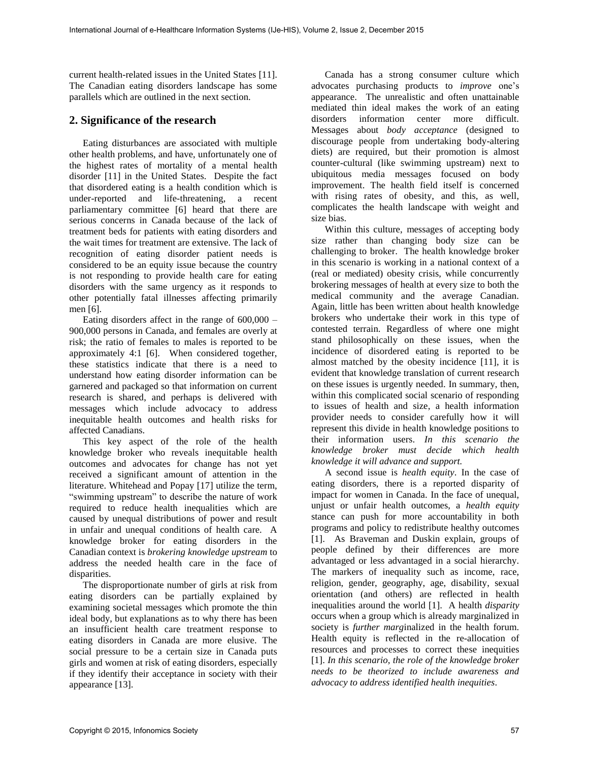current health-related issues in the United States [11]. The Canadian eating disorders landscape has some parallels which are outlined in the next section.

## **2. Significance of the research**

Eating disturbances are associated with multiple other health problems, and have, unfortunately one of the highest rates of mortality of a mental health disorder [11] in the United States. Despite the fact that disordered eating is a health condition which is under-reported and life-threatening, a recent parliamentary committee [6] heard that there are serious concerns in Canada because of the lack of treatment beds for patients with eating disorders and the wait times for treatment are extensive. The lack of recognition of eating disorder patient needs is considered to be an equity issue because the country is not responding to provide health care for eating disorders with the same urgency as it responds to other potentially fatal illnesses affecting primarily men [6].

Eating disorders affect in the range of  $600,000 -$ 900,000 persons in Canada, and females are overly at risk; the ratio of females to males is reported to be approximately 4:1 [6]. When considered together, these statistics indicate that there is a need to understand how eating disorder information can be garnered and packaged so that information on current research is shared, and perhaps is delivered with messages which include advocacy to address inequitable health outcomes and health risks for affected Canadians.

This key aspect of the role of the health knowledge broker who reveals inequitable health outcomes and advocates for change has not yet received a significant amount of attention in the literature. Whitehead and Popay [17] utilize the term, "swimming upstream" to describe the nature of work required to reduce health inequalities which are caused by unequal distributions of power and result in unfair and unequal conditions of health care. A knowledge broker for eating disorders in the Canadian context is *brokering knowledge upstream* to address the needed health care in the face of disparities.

The disproportionate number of girls at risk from eating disorders can be partially explained by examining societal messages which promote the thin ideal body, but explanations as to why there has been an insufficient health care treatment response to eating disorders in Canada are more elusive. The social pressure to be a certain size in Canada puts girls and women at risk of eating disorders, especially if they identify their acceptance in society with their appearance [13].

Canada has a strong consumer culture which advocates purchasing products to *improve* one's appearance. The unrealistic and often unattainable mediated thin ideal makes the work of an eating disorders information center more difficult. Messages about *body acceptance* (designed to discourage people from undertaking body-altering diets) are required, but their promotion is almost counter-cultural (like swimming upstream) next to ubiquitous media messages focused on body improvement. The health field itself is concerned with rising rates of obesity, and this, as well, complicates the health landscape with weight and size bias.

Within this culture, messages of accepting body size rather than changing body size can be challenging to broker. The health knowledge broker in this scenario is working in a national context of a (real or mediated) obesity crisis, while concurrently brokering messages of health at every size to both the medical community and the average Canadian. Again, little has been written about health knowledge brokers who undertake their work in this type of contested terrain. Regardless of where one might stand philosophically on these issues, when the incidence of disordered eating is reported to be almost matched by the obesity incidence [11], it is evident that knowledge translation of current research on these issues is urgently needed. In summary, then, within this complicated social scenario of responding to issues of health and size, a health information provider needs to consider carefully how it will represent this divide in health knowledge positions to their information users. *In this scenario the knowledge broker must decide which health knowledge it will advance and support.* 

A second issue is *health equity*. In the case of eating disorders, there is a reported disparity of impact for women in Canada. In the face of unequal, unjust or unfair health outcomes, a *health equity* stance can push for more accountability in both programs and policy to redistribute healthy outcomes [1]. As Braveman and Duskin explain, groups of people defined by their differences are more advantaged or less advantaged in a social hierarchy. The markers of inequality such as income, race, religion, gender, geography, age, disability, sexual orientation (and others) are reflected in health inequalities around the world [1]. A health *disparity* occurs when a group which is already marginalized in society is *further marg*inalized in the health forum. Health equity is reflected in the re-allocation of resources and processes to correct these inequities [1]. *In this scenario, the role of the knowledge broker needs to be theorized to include awareness and advocacy to address identified health inequities*.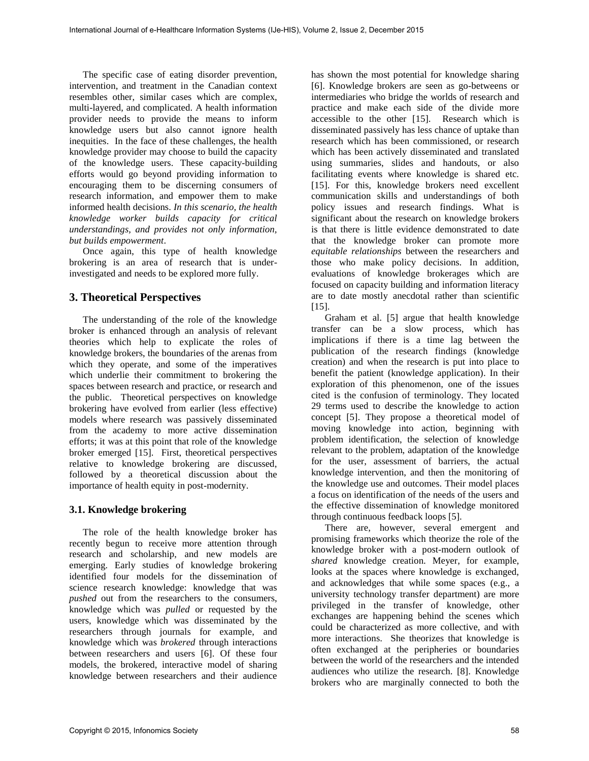The specific case of eating disorder prevention, intervention, and treatment in the Canadian context resembles other, similar cases which are complex, multi-layered, and complicated. A health information provider needs to provide the means to inform knowledge users but also cannot ignore health inequities. In the face of these challenges, the health knowledge provider may choose to build the capacity of the knowledge users. These capacity-building efforts would go beyond providing information to encouraging them to be discerning consumers of research information, and empower them to make informed health decisions. *In this scenario, the health knowledge worker builds capacity for critical understandings, and provides not only information, but builds empowerment*.

Once again, this type of health knowledge brokering is an area of research that is underinvestigated and needs to be explored more fully.

### **3. Theoretical Perspectives**

The understanding of the role of the knowledge broker is enhanced through an analysis of relevant theories which help to explicate the roles of knowledge brokers, the boundaries of the arenas from which they operate, and some of the imperatives which underlie their commitment to brokering the spaces between research and practice, or research and the public. Theoretical perspectives on knowledge brokering have evolved from earlier (less effective) models where research was passively disseminated from the academy to more active dissemination efforts; it was at this point that role of the knowledge broker emerged [15]. First, theoretical perspectives relative to knowledge brokering are discussed, followed by a theoretical discussion about the importance of health equity in post-modernity.

#### **3.1. Knowledge brokering**

The role of the health knowledge broker has recently begun to receive more attention through research and scholarship, and new models are emerging. Early studies of knowledge brokering identified four models for the dissemination of science research knowledge: knowledge that was *pushed* out from the researchers to the consumers, knowledge which was *pulled* or requested by the users, knowledge which was disseminated by the researchers through journals for example, and knowledge which was *brokered* through interactions between researchers and users [6]. Of these four models, the brokered, interactive model of sharing knowledge between researchers and their audience

has shown the most potential for knowledge sharing [6]. Knowledge brokers are seen as go-betweens or intermediaries who bridge the worlds of research and practice and make each side of the divide more accessible to the other [15]. Research which is disseminated passively has less chance of uptake than research which has been commissioned, or research which has been actively disseminated and translated using summaries, slides and handouts, or also facilitating events where knowledge is shared etc. [15]. For this, knowledge brokers need excellent communication skills and understandings of both policy issues and research findings. What is significant about the research on knowledge brokers is that there is little evidence demonstrated to date that the knowledge broker can promote more *equitable relationships* between the researchers and those who make policy decisions. In addition, evaluations of knowledge brokerages which are focused on capacity building and information literacy are to date mostly anecdotal rather than scientific [15].

Graham et al. [5] argue that health knowledge transfer can be a slow process, which has implications if there is a time lag between the publication of the research findings (knowledge creation) and when the research is put into place to benefit the patient (knowledge application). In their exploration of this phenomenon, one of the issues cited is the confusion of terminology. They located 29 terms used to describe the knowledge to action concept [5]. They propose a theoretical model of moving knowledge into action, beginning with problem identification, the selection of knowledge relevant to the problem, adaptation of the knowledge for the user, assessment of barriers, the actual knowledge intervention, and then the monitoring of the knowledge use and outcomes. Their model places a focus on identification of the needs of the users and the effective dissemination of knowledge monitored through continuous feedback loops [5].

There are, however, several emergent and promising frameworks which theorize the role of the knowledge broker with a post-modern outlook of *shared* knowledge creation. Meyer, for example, looks at the spaces where knowledge is exchanged, and acknowledges that while some spaces (e.g., a university technology transfer department) are more privileged in the transfer of knowledge, other exchanges are happening behind the scenes which could be characterized as more collective, and with more interactions. She theorizes that knowledge is often exchanged at the peripheries or boundaries between the world of the researchers and the intended audiences who utilize the research. [8]. Knowledge brokers who are marginally connected to both the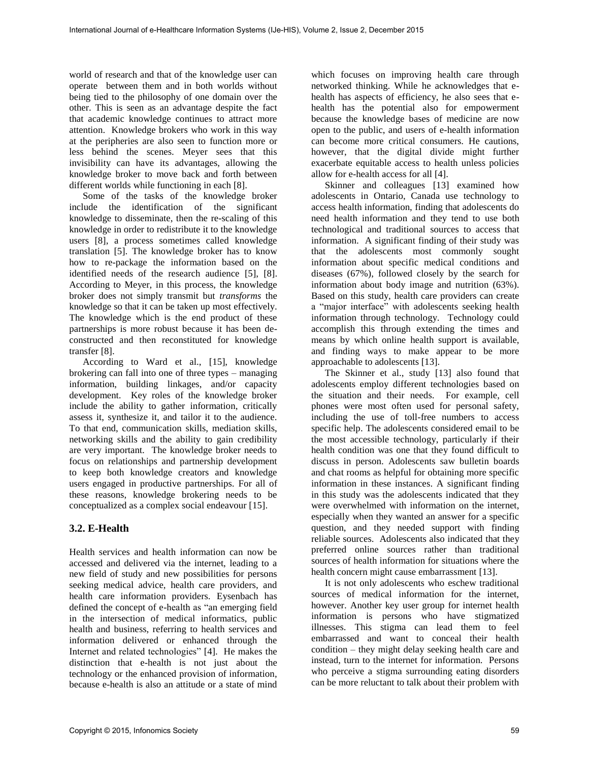world of research and that of the knowledge user can operate between them and in both worlds without being tied to the philosophy of one domain over the other. This is seen as an advantage despite the fact that academic knowledge continues to attract more attention. Knowledge brokers who work in this way at the peripheries are also seen to function more or less behind the scenes. Meyer sees that this invisibility can have its advantages, allowing the knowledge broker to move back and forth between different worlds while functioning in each [8].

Some of the tasks of the knowledge broker include the identification of the significant knowledge to disseminate, then the re-scaling of this knowledge in order to redistribute it to the knowledge users [8], a process sometimes called knowledge translation [5]. The knowledge broker has to know how to re-package the information based on the identified needs of the research audience [5], [8]. According to Meyer, in this process, the knowledge broker does not simply transmit but *transforms* the knowledge so that it can be taken up most effectively. The knowledge which is the end product of these partnerships is more robust because it has been deconstructed and then reconstituted for knowledge transfer [8].

According to Ward et al., [15], knowledge brokering can fall into one of three types – managing information, building linkages, and/or capacity development. Key roles of the knowledge broker include the ability to gather information, critically assess it, synthesize it, and tailor it to the audience. To that end, communication skills, mediation skills, networking skills and the ability to gain credibility are very important. The knowledge broker needs to focus on relationships and partnership development to keep both knowledge creators and knowledge users engaged in productive partnerships. For all of these reasons, knowledge brokering needs to be conceptualized as a complex social endeavour [15].

# **3.2. E-Health**

Health services and health information can now be accessed and delivered via the internet, leading to a new field of study and new possibilities for persons seeking medical advice, health care providers, and health care information providers. Eysenbach has defined the concept of e-health as "an emerging field in the intersection of medical informatics, public health and business, referring to health services and information delivered or enhanced through the Internet and related technologies" [4]. He makes the distinction that e-health is not just about the technology or the enhanced provision of information, because e-health is also an attitude or a state of mind

which focuses on improving health care through networked thinking. While he acknowledges that ehealth has aspects of efficiency, he also sees that ehealth has the potential also for empowerment because the knowledge bases of medicine are now open to the public, and users of e-health information can become more critical consumers. He cautions, however, that the digital divide might further exacerbate equitable access to health unless policies allow for e-health access for all [4].

Skinner and colleagues [13] examined how adolescents in Ontario, Canada use technology to access health information, finding that adolescents do need health information and they tend to use both technological and traditional sources to access that information. A significant finding of their study was that the adolescents most commonly sought information about specific medical conditions and diseases (67%), followed closely by the search for information about body image and nutrition (63%). Based on this study, health care providers can create a "major interface" with adolescents seeking health information through technology. Technology could accomplish this through extending the times and means by which online health support is available, and finding ways to make appear to be more approachable to adolescents [13].

The Skinner et al., study [13] also found that adolescents employ different technologies based on the situation and their needs. For example, cell phones were most often used for personal safety, including the use of toll-free numbers to access specific help. The adolescents considered email to be the most accessible technology, particularly if their health condition was one that they found difficult to discuss in person. Adolescents saw bulletin boards and chat rooms as helpful for obtaining more specific information in these instances. A significant finding in this study was the adolescents indicated that they were overwhelmed with information on the internet, especially when they wanted an answer for a specific question, and they needed support with finding reliable sources. Adolescents also indicated that they preferred online sources rather than traditional sources of health information for situations where the health concern might cause embarrassment [13].

It is not only adolescents who eschew traditional sources of medical information for the internet, however. Another key user group for internet health information is persons who have stigmatized illnesses. This stigma can lead them to feel embarrassed and want to conceal their health condition – they might delay seeking health care and instead, turn to the internet for information. Persons who perceive a stigma surrounding eating disorders can be more reluctant to talk about their problem with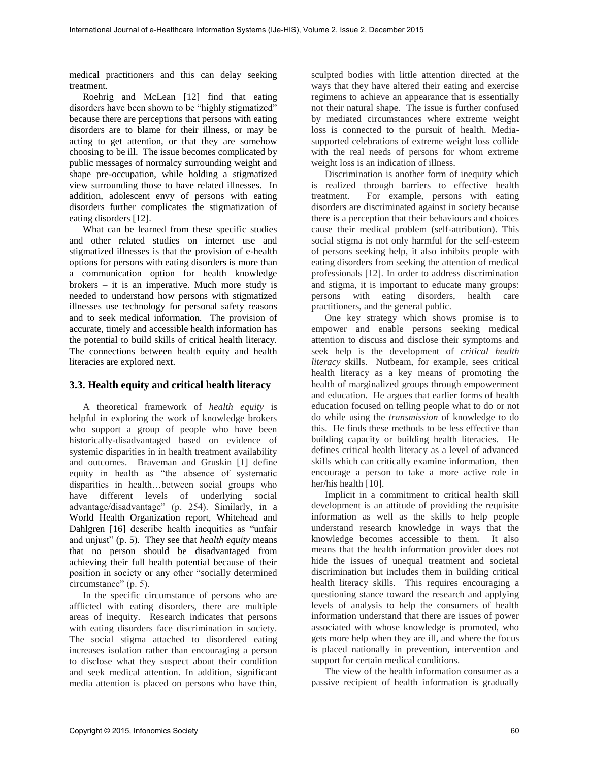medical practitioners and this can delay seeking treatment.

Roehrig and McLean [12] find that eating disorders have been shown to be "highly stigmatized" because there are perceptions that persons with eating disorders are to blame for their illness, or may be acting to get attention, or that they are somehow choosing to be ill. The issue becomes complicated by public messages of normalcy surrounding weight and shape pre-occupation, while holding a stigmatized view surrounding those to have related illnesses. In addition, adolescent envy of persons with eating disorders further complicates the stigmatization of eating disorders [12].

What can be learned from these specific studies and other related studies on internet use and stigmatized illnesses is that the provision of e-health options for persons with eating disorders is more than a communication option for health knowledge brokers – it is an imperative. Much more study is needed to understand how persons with stigmatized illnesses use technology for personal safety reasons and to seek medical information. The provision of accurate, timely and accessible health information has the potential to build skills of critical health literacy. The connections between health equity and health literacies are explored next.

### **3.3. Health equity and critical health literacy**

A theoretical framework of *health equity* is helpful in exploring the work of knowledge brokers who support a group of people who have been historically-disadvantaged based on evidence of systemic disparities in in health treatment availability and outcomes. Braveman and Gruskin [1] define equity in health as "the absence of systematic disparities in health…between social groups who have different levels of underlying social advantage/disadvantage" (p. 254). Similarly, in a World Health Organization report, Whitehead and Dahlgren [16] describe health inequities as "unfair and unjust" (p. 5). They see that *health equity* means that no person should be disadvantaged from achieving their full health potential because of their position in society or any other "socially determined circumstance" (p. 5).

In the specific circumstance of persons who are afflicted with eating disorders, there are multiple areas of inequity. Research indicates that persons with eating disorders face discrimination in society. The social stigma attached to disordered eating increases isolation rather than encouraging a person to disclose what they suspect about their condition and seek medical attention. In addition, significant media attention is placed on persons who have thin,

sculpted bodies with little attention directed at the ways that they have altered their eating and exercise regimens to achieve an appearance that is essentially not their natural shape. The issue is further confused by mediated circumstances where extreme weight loss is connected to the pursuit of health. Mediasupported celebrations of extreme weight loss collide with the real needs of persons for whom extreme weight loss is an indication of illness.

Discrimination is another form of inequity which is realized through barriers to effective health treatment. For example, persons with eating disorders are discriminated against in society because there is a perception that their behaviours and choices cause their medical problem (self-attribution). This social stigma is not only harmful for the self-esteem of persons seeking help, it also inhibits people with eating disorders from seeking the attention of medical professionals [12]. In order to address discrimination and stigma, it is important to educate many groups: persons with eating disorders, health care practitioners, and the general public.

One key strategy which shows promise is to empower and enable persons seeking medical attention to discuss and disclose their symptoms and seek help is the development of *critical health literacy* skills. Nutbeam, for example, sees critical health literacy as a key means of promoting the health of marginalized groups through empowerment and education. He argues that earlier forms of health education focused on telling people what to do or not do while using the *transmission* of knowledge to do this. He finds these methods to be less effective than building capacity or building health literacies. He defines critical health literacy as a level of advanced skills which can critically examine information, then encourage a person to take a more active role in her/his health [10].

Implicit in a commitment to critical health skill development is an attitude of providing the requisite information as well as the skills to help people understand research knowledge in ways that the knowledge becomes accessible to them. It also means that the health information provider does not hide the issues of unequal treatment and societal discrimination but includes them in building critical health literacy skills. This requires encouraging a questioning stance toward the research and applying levels of analysis to help the consumers of health information understand that there are issues of power associated with whose knowledge is promoted, who gets more help when they are ill, and where the focus is placed nationally in prevention, intervention and support for certain medical conditions.

The view of the health information consumer as a passive recipient of health information is gradually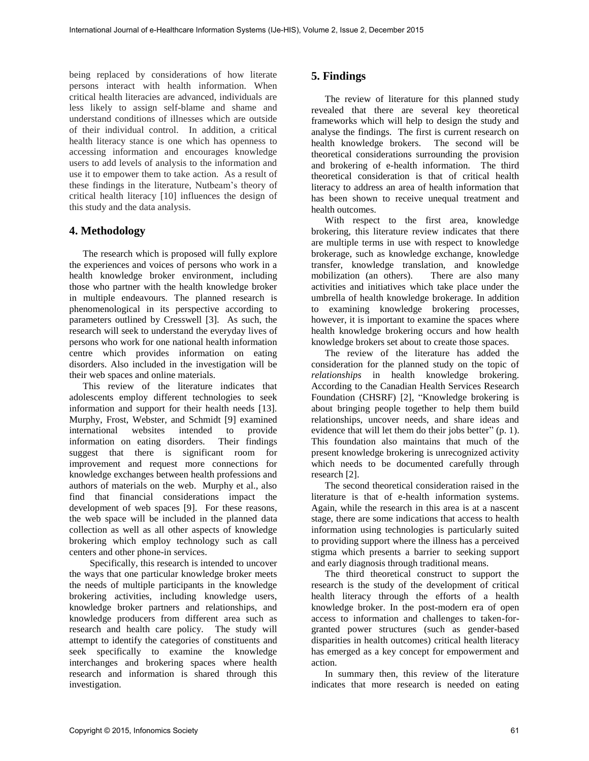being replaced by considerations of how literate persons interact with health information. When critical health literacies are advanced, individuals are less likely to assign self-blame and shame and understand conditions of illnesses which are outside of their individual control. In addition, a critical health literacy stance is one which has openness to accessing information and encourages knowledge users to add levels of analysis to the information and use it to empower them to take action. As a result of these findings in the literature, Nutbeam's theory of critical health literacy [10] influences the design of this study and the data analysis.

#### **4. Methodology**

The research which is proposed will fully explore the experiences and voices of persons who work in a health knowledge broker environment, including those who partner with the health knowledge broker in multiple endeavours. The planned research is phenomenological in its perspective according to parameters outlined by Cresswell [3]. As such, the research will seek to understand the everyday lives of persons who work for one national health information centre which provides information on eating disorders. Also included in the investigation will be their web spaces and online materials.

This review of the literature indicates that adolescents employ different technologies to seek information and support for their health needs [13]. Murphy, Frost, Webster, and Schmidt [9] examined international websites intended to provide information on eating disorders. Their findings suggest that there is significant room for improvement and request more connections for knowledge exchanges between health professions and authors of materials on the web. Murphy et al., also find that financial considerations impact the development of web spaces [9]. For these reasons, the web space will be included in the planned data collection as well as all other aspects of knowledge brokering which employ technology such as call centers and other phone-in services.

Specifically, this research is intended to uncover the ways that one particular knowledge broker meets the needs of multiple participants in the knowledge brokering activities, including knowledge users, knowledge broker partners and relationships, and knowledge producers from different area such as research and health care policy. The study will attempt to identify the categories of constituents and seek specifically to examine the knowledge interchanges and brokering spaces where health research and information is shared through this investigation.

## **5. Findings**

The review of literature for this planned study revealed that there are several key theoretical frameworks which will help to design the study and analyse the findings. The first is current research on health knowledge brokers. The second will be theoretical considerations surrounding the provision and brokering of e-health information. The third theoretical consideration is that of critical health literacy to address an area of health information that has been shown to receive unequal treatment and health outcomes.

With respect to the first area, knowledge brokering, this literature review indicates that there are multiple terms in use with respect to knowledge brokerage, such as knowledge exchange, knowledge transfer, knowledge translation, and knowledge mobilization (an others). There are also many activities and initiatives which take place under the umbrella of health knowledge brokerage. In addition to examining knowledge brokering processes, however, it is important to examine the spaces where health knowledge brokering occurs and how health knowledge brokers set about to create those spaces.

The review of the literature has added the consideration for the planned study on the topic of *relationships* in health knowledge brokering. According to the Canadian Health Services Research Foundation (CHSRF) [2], "Knowledge brokering is about bringing people together to help them build relationships, uncover needs, and share ideas and evidence that will let them do their jobs better" (p. 1). This foundation also maintains that much of the present knowledge brokering is unrecognized activity which needs to be documented carefully through research [2].

The second theoretical consideration raised in the literature is that of e-health information systems. Again, while the research in this area is at a nascent stage, there are some indications that access to health information using technologies is particularly suited to providing support where the illness has a perceived stigma which presents a barrier to seeking support and early diagnosis through traditional means.

The third theoretical construct to support the research is the study of the development of critical health literacy through the efforts of a health knowledge broker. In the post-modern era of open access to information and challenges to taken-forgranted power structures (such as gender-based disparities in health outcomes) critical health literacy has emerged as a key concept for empowerment and action.

In summary then, this review of the literature indicates that more research is needed on eating